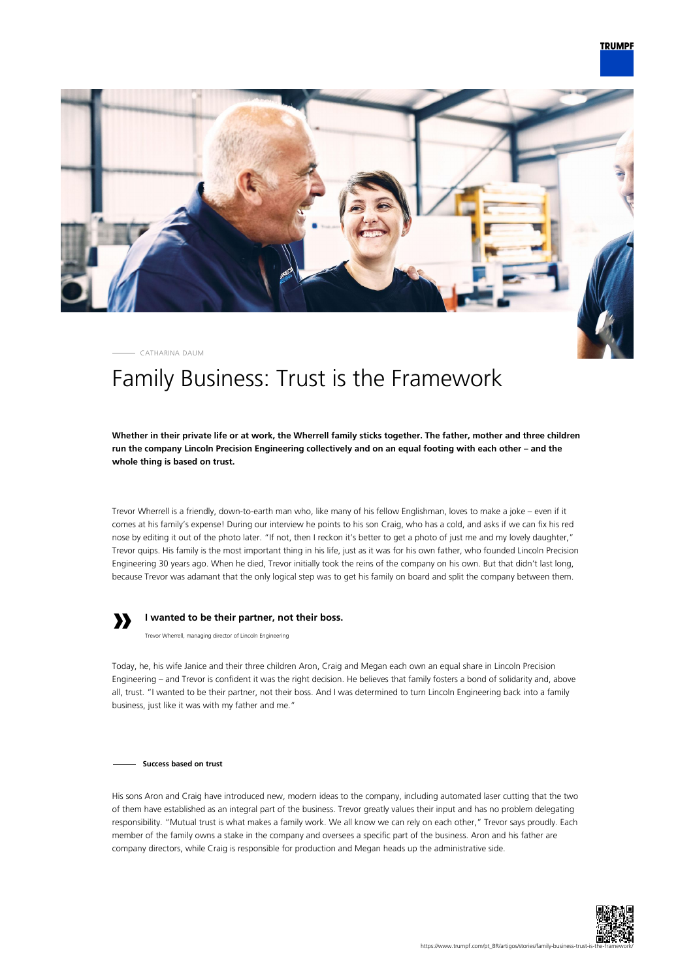

CATHARINA DAUM

# Family Business: Trust is the Framework

**Whether in their private life or at work, the Wherrell family sticks together. The father, mother and three children run the company Lincoln Precision Engineering collectively and on an equal footing with each other – and the whole thing is based on trust.**

Trevor Wherrell is a friendly, down-to-earth man who, like many of his fellow Englishman, loves to make a joke – even if it comes at his family's expense! During our interview he points to his son Craig, who has a cold, and asks if we can fix his red nose by editing it out of the photo later. "If not, then I reckon it's better to get a photo of just me and my lovely daughter," Trevor quips. His family is the most important thing in his life, just as it was for his own father, who founded Lincoln Precision Engineering 30 years ago. When he died, Trevor initially took the reins of the company on his own. But that didn't last long, because Trevor was adamant that the only logical step was to get his family on board and split the company between them.



## **I wanted to be their partner, not their boss.**

Trevor Wherrell, managing director of Lincoln Engineering

Today, he, his wife Janice and their three children Aron, Craig and Megan each own an equal share in Lincoln Precision Engineering – and Trevor is confident it was the right decision. He believes that family fosters a bond of solidarity and, above all, trust. "I wanted to be their partner, not their boss. And I was determined to turn Lincoln Engineering back into a family business, just like it was with my father and me."

**Success based on trust**

His sons Aron and Craig have introduced new, modern ideas to the company, including automated laser cutting that the two of them have established as an integral part of the business. Trevor greatly values their input and has no problem delegating responsibility. "Mutual trust is what makes a family work. We all know we can rely on each other," Trevor says proudly. Each member of the family owns a stake in the company and oversees a specific part of the business. Aron and his father are company directors, while Craig is responsible for production and Megan heads up the administrative side.

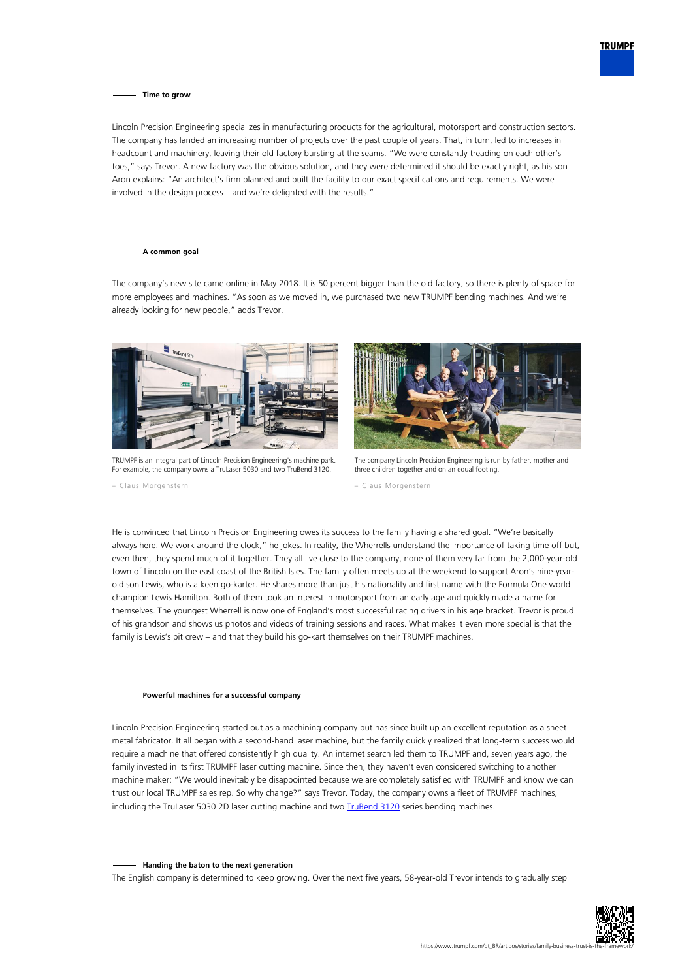

### **Time to grow**

Lincoln Precision Engineering specializes in manufacturing products for the agricultural, motorsport and construction sectors. The company has landed an increasing number of projects over the past couple of years. That, in turn, led to increases in headcount and machinery, leaving their old factory bursting at the seams. "We were constantly treading on each other's toes," says Trevor. A new factory was the obvious solution, and they were determined it should be exactly right, as his son Aron explains: "An architect's firm planned and built the facility to our exact specifications and requirements. We were involved in the design process – and we're delighted with the results."

#### **A common goal**

The company's new site came online in May 2018. It is 50 percent bigger than the old factory, so there is plenty of space for more employees and machines. "As soon as we moved in, we purchased two new TRUMPF bending machines. And we're already looking for new people," adds Trevor.



TRUMPF is an integral part of Lincoln Precision Engineering's machine park. For example, the company owns a TruLaser 5030 and two TruBend 3120.

– Claus Morgenstern



The company Lincoln Precision Engineering is run by father, mother and three children together and on an equal footing.

– Claus Morgenstern

He is convinced that Lincoln Precision Engineering owes its success to the family having a shared goal. "We're basically always here. We work around the clock," he jokes. In reality, the Wherrells understand the importance of taking time off but, even then, they spend much of it together. They all live close to the company, none of them very far from the 2,000-year-old town of Lincoln on the east coast of the British Isles. The family often meets up at the weekend to support Aron's nine-yearold son Lewis, who is a keen go-karter. He shares more than just his nationality and first name with the Formula One world champion Lewis Hamilton. Both of them took an interest in motorsport from an early age and quickly made a name for themselves. The youngest Wherrell is now one of England's most successful racing drivers in his age bracket. Trevor is proud of his grandson and shows us photos and videos of training sessions and races. What makes it even more special is that the family is Lewis's pit crew – and that they build his go-kart themselves on their TRUMPF machines.

### **Powerful machines for a successful company**

Lincoln Precision Engineering started out as a machining company but has since built up an excellent reputation as a sheet metal fabricator. It all began with a second-hand laser machine, but the family quickly realized that long-term success would require a machine that offered consistently high quality. An internet search led them to TRUMPF and, seven years ago, the family invested in its first TRUMPF laser cutting machine. Since then, they haven't even considered switching to another machine maker: "We would inevitably be disappointed because we are completely satisfied with TRUMPF and know we can trust our local TRUMPF sales rep. So why change?" says Trevor. Today, the company owns a fleet of TRUMPF machines, including the TruLaser 5030 2D laser cutting machine and two [TruBend 3120](https://www.trumpf.com/pt_BR/produtos/maquinas-sistemas/dobradeiras/trubend-serie-3000/) series bending machines.

#### **Handing the baton to the next generation**

The English company is determined to keep growing. Over the next five years, 58-year-old Trevor intends to gradually step